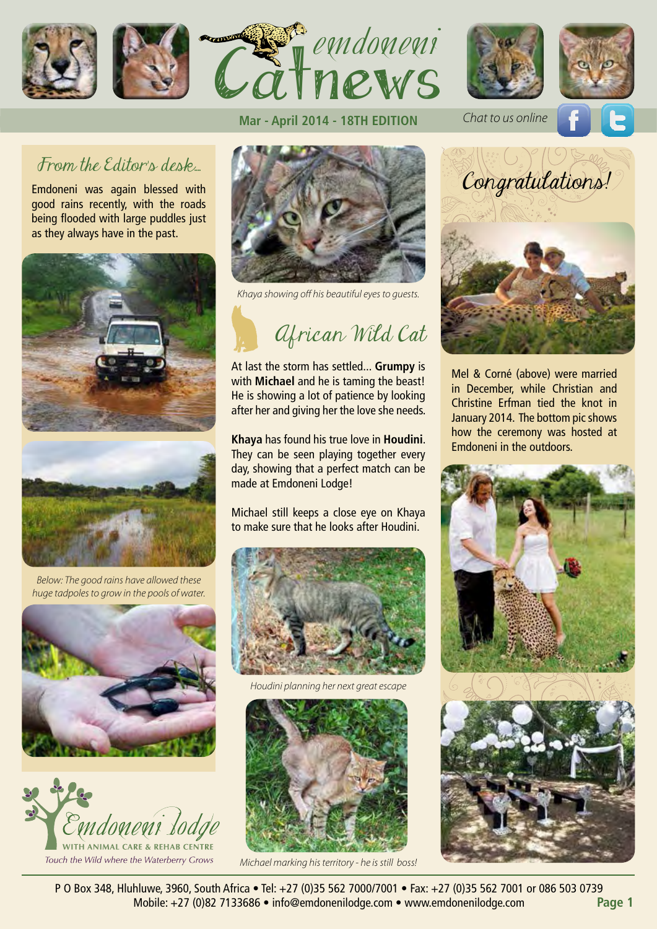









# From the Editor's desk.

Emdoneni was again blessed with good rains recently, with the roads being flooded with large puddles just as they always have in the past.



*Below: The good rains have allowed these huge tadpoles to grow in the pools of water.*





### **Mar - April 2014 - 18TH EDITION**



*Khaya showing off his beautiful eyes to guests.*



At last the storm has settled... **Grumpy** is with **Michael** and he is taming the beast! He is showing a lot of patience by looking after her and giving her the love she needs.

**Khaya** has found his true love in **Houdini**. They can be seen playing together every day, showing that a perfect match can be made at Emdoneni Lodge!

Michael still keeps a close eye on Khaya to make sure that he looks after Houdini.



*Houdini planning her next great escape*



*Michael marking his territory - he is still boss!*

*Chat to us online*



Mel & Corné (above) were married in December, while Christian and Christine Erfman tied the knot in January 2014. The bottom pic shows how the ceremony was hosted at Emdoneni in the outdoors.





P O Box 348, Hluhluwe, 3960, South Africa • Tel: +27 (0)35 562 7000/7001 • Fax: +27 (0)35 562 7001 or 086 503 0739 Mobile: +27 (0)82 7133686 • info@emdonenilodge.com • www.emdonenilodge.com **Page 1**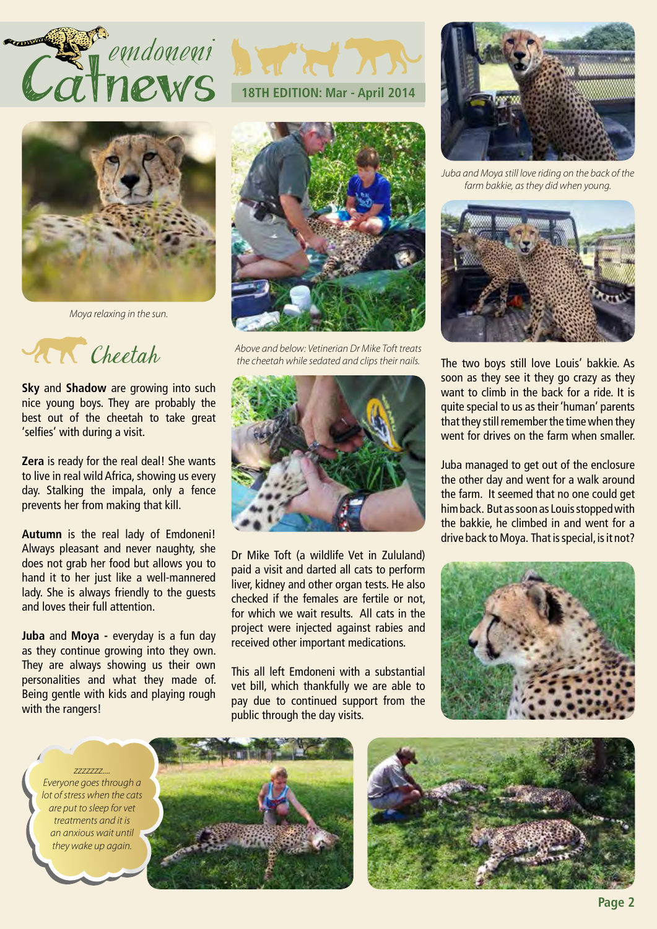



*Moya relaxing in the sun.*

Cheetah

**Sky** and **Shadow** are growing into such nice young boys. They are probably the best out of the cheetah to take great 'selfies' with during a visit.

**Zera** is ready for the real deal! She wants to live in real wild Africa, showing us every day. Stalking the impala, only a fence prevents her from making that kill.

**Autumn** is the real lady of Emdoneni! Always pleasant and never naughty, she does not grab her food but allows you to hand it to her just like a well-mannered lady. She is always friendly to the guests and loves their full attention.

**Juba** and **Moya** - everyday is a fun day as they continue growing into they own. They are always showing us their own personalities and what they made of. Being gentle with kids and playing rough with the rangers!





*Above and below: Vetinerian Dr Mike Toft treats the cheetah while sedated and clips their nails.*



Dr Mike Toft (a wildlife Vet in Zululand) paid a visit and darted all cats to perform liver, kidney and other organ tests. He also checked if the females are fertile or not, for which we wait results. All cats in the project were injected against rabies and received other important medications.

This all left Emdoneni with a substantial vet bill, which thankfully we are able to pay due to continued support from the public through the day visits.



*Juba and Moya still love riding on the back of the farm bakkie, as they did when young.*



The two boys still love Louis' bakkie. As soon as they see it they go crazy as they want to climb in the back for a ride. It is quite special to us as their 'human' parents that they still remember the time when they went for drives on the farm when smaller.

Juba managed to get out of the enclosure the other day and went for a walk around the farm. It seemed that no one could get him back. But as soon as Louis stopped with the bakkie, he climbed in and went for a drive back to Moya. That is special, is it not?



*Everyone goes through a lot of stress when the cats are put to sleep for vet treatments and it is an anxious wait until they wake up again.*

*zzzzzzz....*



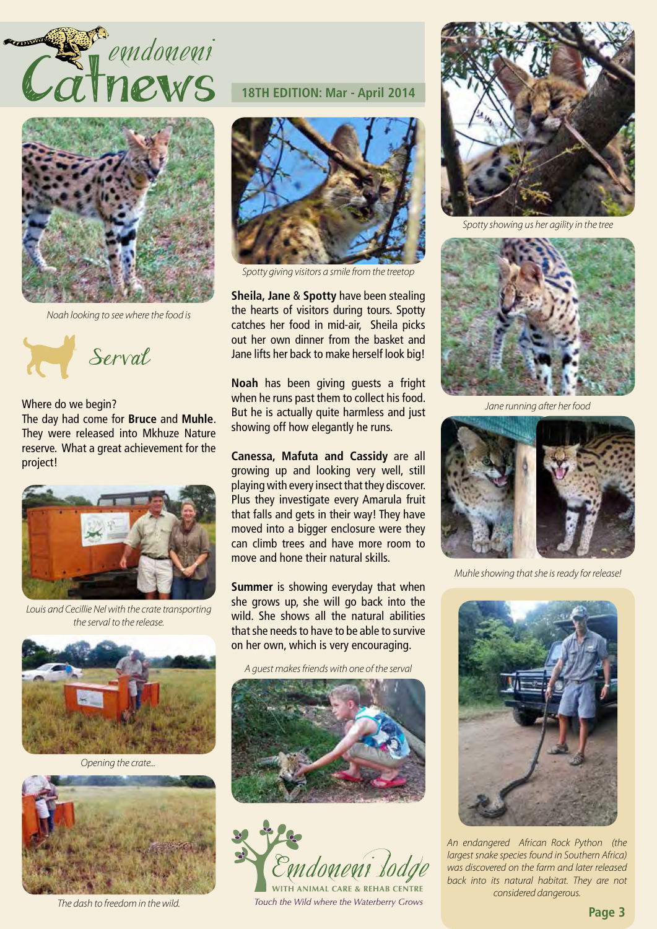



*Noah looking to see where the food is*



Where do we begin?

The day had come for **Bruce** and **Muhle**. They were released into Mkhuze Nature reserve. What a great achievement for the project!



*Louis and Cecillie Nel with the crate transporting the serval to the release.*



*Opening the crate...*



*The dash to freedom in the wild.*

# **18TH EDITION: Mar - April 2014**



*Spotty giving visitors a smile from the treetop*

**Sheila, Jane** & **Spotty** have been stealing the hearts of visitors during tours. Spotty catches her food in mid-air, Sheila picks out her own dinner from the basket and Jane lifts her back to make herself look big!

**Noah** has been giving guests a fright when he runs past them to collect his food. But he is actually quite harmless and just showing off how elegantly he runs.

**Canessa, Mafuta and Cassidy** are all growing up and looking very well, still playing with every insect that they discover. Plus they investigate every Amarula fruit that falls and gets in their way! They have moved into a bigger enclosure were they can climb trees and have more room to move and hone their natural skills.

**Summer** is showing everyday that when she grows up, she will go back into the wild. She shows all the natural abilities that she needs to have to be able to survive on her own, which is very encouraging.

*A guest makes friends with one of the serval*





Touch the Wild where the Waterberry Grows



*Spotty showing us her agility in the tree*



*Jane running after her food*



*Muhle showing that she is ready for release!*



*An endangered African Rock Python (the largest snake species found in Southern Africa) was discovered on the farm and later released back into its natural habitat. They are not considered dangerous.*